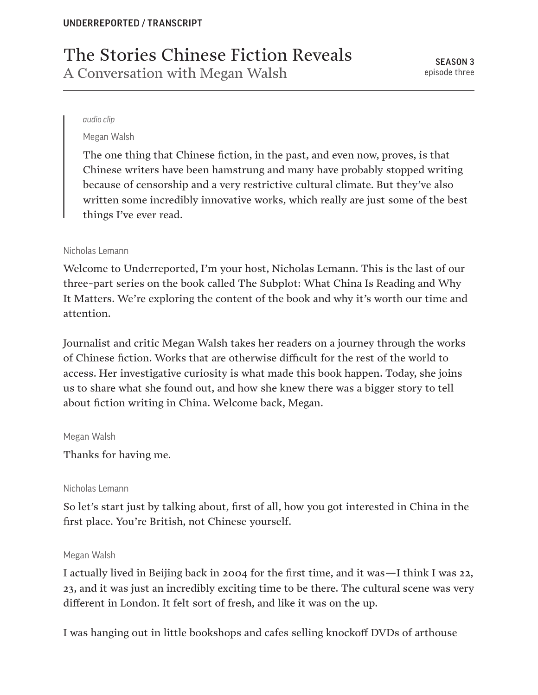# The Stories Chinese Fiction Reveals A Conversation with Megan Walsh

#### *audio clip*

Megan Walsh

The one thing that Chinese fiction, in the past, and even now, proves, is that Chinese writers have been hamstrung and many have probably stopped writing because of censorship and a very restrictive cultural climate. But they've also written some incredibly innovative works, which really are just some of the best things I've ever read.

## Nicholas Lemann

Welcome to Underreported, I'm your host, Nicholas Lemann. This is the last of our three-part series on the book called The Subplot: What China Is Reading and Why It Matters. We're exploring the content of the book and why it's worth our time and attention.

Journalist and critic Megan Walsh takes her readers on a journey through the works of Chinese fiction. Works that are otherwise difficult for the rest of the world to access. Her investigative curiosity is what made this book happen. Today, she joins us to share what she found out, and how she knew there was a bigger story to tell about fiction writing in China. Welcome back, Megan.

#### Megan Walsh

Thanks for having me.

#### Nicholas Lemann

So let's start just by talking about, first of all, how you got interested in China in the first place. You're British, not Chinese yourself.

#### Megan Walsh

I actually lived in Beijing back in 2004 for the first time, and it was—I think I was 22, 23, and it was just an incredibly exciting time to be there. The cultural scene was very different in London. It felt sort of fresh, and like it was on the up.

I was hanging out in little bookshops and cafes selling knockoff DVDs of arthouse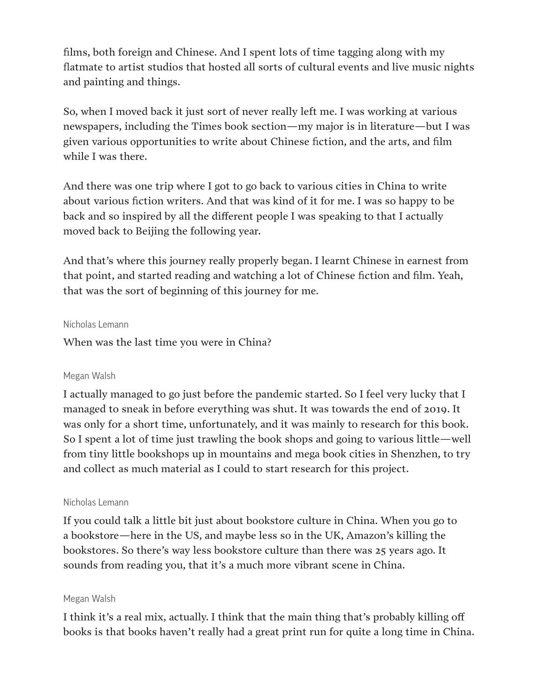films, both foreign and Chinese. And I spent lots of time tagging along with my flatmate to artist studios that hosted all sorts of cultural events and live music nights and painting and things.

So, when I moved back it just sort of never really left me. I was working at various newspapers, including the Times book section—my major is in literature—but I was given various opportunities to write about Chinese fiction, and the arts, and film while I was there.

And there was one trip where I got to go back to various cities in China to write about various fiction writers. And that was kind of it for me. I was so happy to be back and so inspired by all the different people I was speaking to that I actually moved back to Beijing the following year.

And that's where this journey really properly began. I learnt Chinese in earnest from that point, and started reading and watching a lot of Chinese fiction and film. Yeah, that was the sort of beginning of this journey for me.

#### Nicholas Lemann

When was the last time you were in China?

# Megan Walsh

I actually managed to go just before the pandemic started. So I feel very lucky that I managed to sneak in before everything was shut. It was towards the end of 2019. It was only for a short time, unfortunately, and it was mainly to research for this book. So I spent a lot of time just trawling the book shops and going to various little—well from tiny little bookshops up in mountains and mega book cities in Shenzhen, to try and collect as much material as I could to start research for this project.

# Nicholas Lemann

If you could talk a little bit just about bookstore culture in China. When you go to a bookstore—here in the US, and maybe less so in the UK, Amazon's killing the bookstores. So there's way less bookstore culture than there was 25 years ago. It sounds from reading you, that it's a much more vibrant scene in China.

#### Megan Walsh

I think it's a real mix, actually. I think that the main thing that's probably killing off books is that books haven't really had a great print run for quite a long time in China.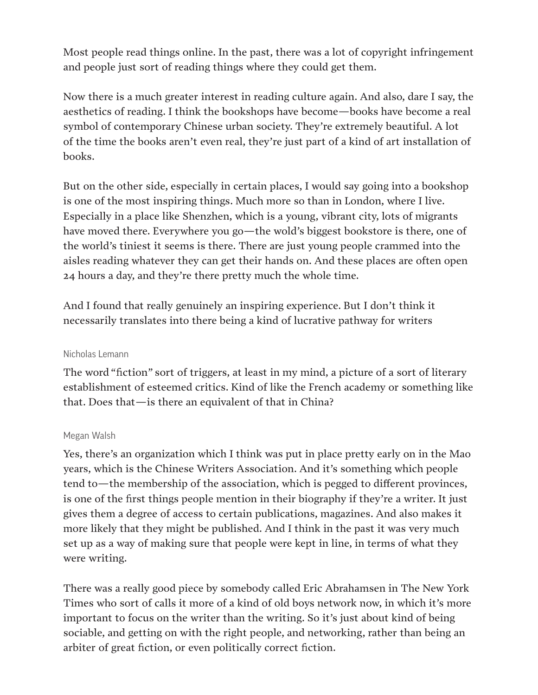Most people read things online. In the past, there was a lot of copyright infringement and people just sort of reading things where they could get them.

Now there is a much greater interest in reading culture again. And also, dare I say, the aesthetics of reading. I think the bookshops have become—books have become a real symbol of contemporary Chinese urban society. They're extremely beautiful. A lot of the time the books aren't even real, they're just part of a kind of art installation of books.

But on the other side, especially in certain places, I would say going into a bookshop is one of the most inspiring things. Much more so than in London, where I live. Especially in a place like Shenzhen, which is a young, vibrant city, lots of migrants have moved there. Everywhere you go—the wold's biggest bookstore is there, one of the world's tiniest it seems is there. There are just young people crammed into the aisles reading whatever they can get their hands on. And these places are often open 24 hours a day, and they're there pretty much the whole time.

And I found that really genuinely an inspiring experience. But I don't think it necessarily translates into there being a kind of lucrative pathway for writers

# Nicholas Lemann

The word "fiction" sort of triggers, at least in my mind, a picture of a sort of literary establishment of esteemed critics. Kind of like the French academy or something like that. Does that—is there an equivalent of that in China?

#### Megan Walsh

Yes, there's an organization which I think was put in place pretty early on in the Mao years, which is the Chinese Writers Association. And it's something which people tend to—the membership of the association, which is pegged to different provinces, is one of the first things people mention in their biography if they're a writer. It just gives them a degree of access to certain publications, magazines. And also makes it more likely that they might be published. And I think in the past it was very much set up as a way of making sure that people were kept in line, in terms of what they were writing.

There was a really good piece by somebody called Eric Abrahamsen in The New York Times who sort of calls it more of a kind of old boys network now, in which it's more important to focus on the writer than the writing. So it's just about kind of being sociable, and getting on with the right people, and networking, rather than being an arbiter of great fiction, or even politically correct fiction.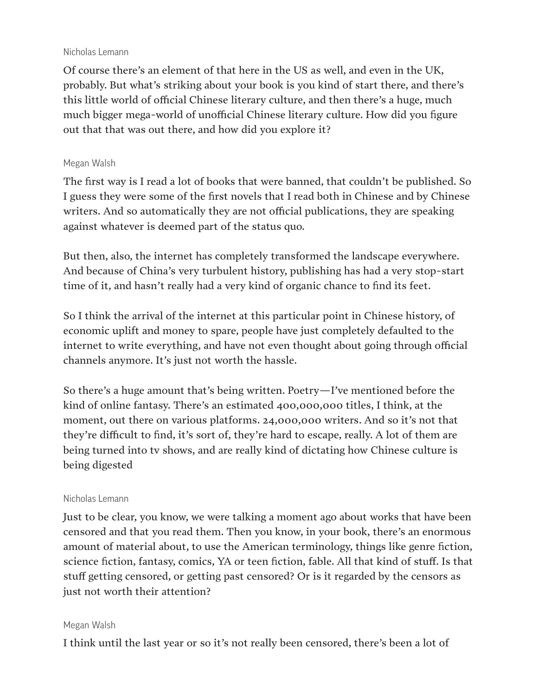#### Nicholas Lemann

Of course there's an element of that here in the US as well, and even in the UK, probably. But what's striking about your book is you kind of start there, and there's this little world of official Chinese literary culture, and then there's a huge, much much bigger mega-world of unofficial Chinese literary culture. How did you figure out that that was out there, and how did you explore it?

## Megan Walsh

The first way is I read a lot of books that were banned, that couldn't be published. So I guess they were some of the first novels that I read both in Chinese and by Chinese writers. And so automatically they are not official publications, they are speaking against whatever is deemed part of the status quo.

But then, also, the internet has completely transformed the landscape everywhere. And because of China's very turbulent history, publishing has had a very stop-start time of it, and hasn't really had a very kind of organic chance to find its feet.

So I think the arrival of the internet at this particular point in Chinese history, of economic uplift and money to spare, people have just completely defaulted to the internet to write everything, and have not even thought about going through official channels anymore. It's just not worth the hassle.

So there's a huge amount that's being written. Poetry—I've mentioned before the kind of online fantasy. There's an estimated 400,000,000 titles, I think, at the moment, out there on various platforms. 24,000,000 writers. And so it's not that they're difficult to find, it's sort of, they're hard to escape, really. A lot of them are being turned into tv shows, and are really kind of dictating how Chinese culture is being digested

# Nicholas Lemann

Just to be clear, you know, we were talking a moment ago about works that have been censored and that you read them. Then you know, in your book, there's an enormous amount of material about, to use the American terminology, things like genre fiction, science fiction, fantasy, comics, YA or teen fiction, fable. All that kind of stuff. Is that stuff getting censored, or getting past censored? Or is it regarded by the censors as just not worth their attention?

# Megan Walsh

I think until the last year or so it's not really been censored, there's been a lot of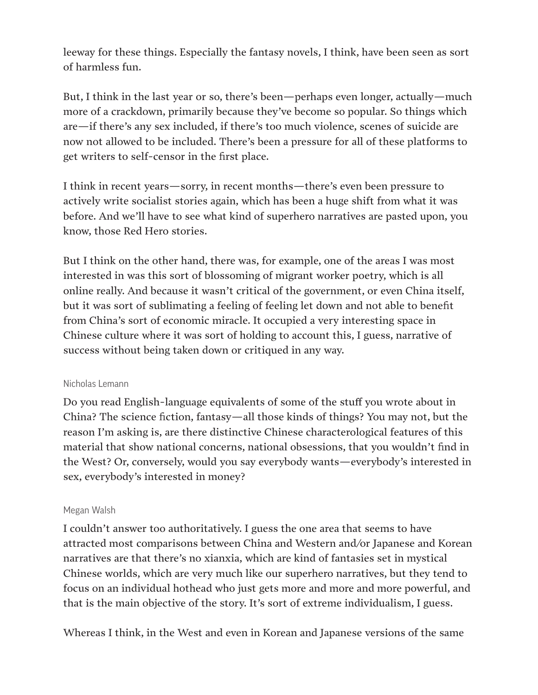leeway for these things. Especially the fantasy novels, I think, have been seen as sort of harmless fun.

But, I think in the last year or so, there's been—perhaps even longer, actually—much more of a crackdown, primarily because they've become so popular. So things which are—if there's any sex included, if there's too much violence, scenes of suicide are now not allowed to be included. There's been a pressure for all of these platforms to get writers to self-censor in the first place.

I think in recent years—sorry, in recent months—there's even been pressure to actively write socialist stories again, which has been a huge shift from what it was before. And we'll have to see what kind of superhero narratives are pasted upon, you know, those Red Hero stories.

But I think on the other hand, there was, for example, one of the areas I was most interested in was this sort of blossoming of migrant worker poetry, which is all online really. And because it wasn't critical of the government, or even China itself, but it was sort of sublimating a feeling of feeling let down and not able to benefit from China's sort of economic miracle. It occupied a very interesting space in Chinese culture where it was sort of holding to account this, I guess, narrative of success without being taken down or critiqued in any way.

# Nicholas Lemann

Do you read English-language equivalents of some of the stuff you wrote about in China? The science fiction, fantasy—all those kinds of things? You may not, but the reason I'm asking is, are there distinctive Chinese characterological features of this material that show national concerns, national obsessions, that you wouldn't find in the West? Or, conversely, would you say everybody wants—everybody's interested in sex, everybody's interested in money?

# Megan Walsh

I couldn't answer too authoritatively. I guess the one area that seems to have attracted most comparisons between China and Western and/or Japanese and Korean narratives are that there's no xianxia, which are kind of fantasies set in mystical Chinese worlds, which are very much like our superhero narratives, but they tend to focus on an individual hothead who just gets more and more and more powerful, and that is the main objective of the story. It's sort of extreme individualism, I guess.

Whereas I think, in the West and even in Korean and Japanese versions of the same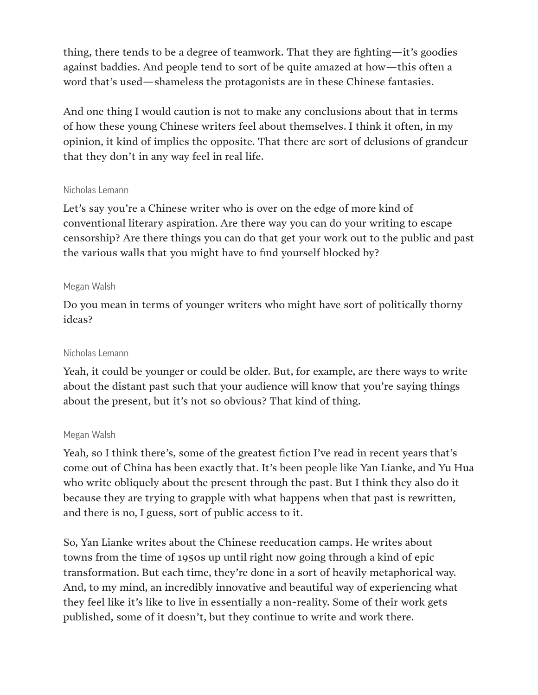thing, there tends to be a degree of teamwork. That they are fighting—it's goodies against baddies. And people tend to sort of be quite amazed at how—this often a word that's used—shameless the protagonists are in these Chinese fantasies.

And one thing I would caution is not to make any conclusions about that in terms of how these young Chinese writers feel about themselves. I think it often, in my opinion, it kind of implies the opposite. That there are sort of delusions of grandeur that they don't in any way feel in real life.

## Nicholas Lemann

Let's say you're a Chinese writer who is over on the edge of more kind of conventional literary aspiration. Are there way you can do your writing to escape censorship? Are there things you can do that get your work out to the public and past the various walls that you might have to find yourself blocked by?

# Megan Walsh

Do you mean in terms of younger writers who might have sort of politically thorny ideas?

## Nicholas Lemann

Yeah, it could be younger or could be older. But, for example, are there ways to write about the distant past such that your audience will know that you're saying things about the present, but it's not so obvious? That kind of thing.

#### Megan Walsh

Yeah, so I think there's, some of the greatest fiction I've read in recent years that's come out of China has been exactly that. It's been people like Yan Lianke, and Yu Hua who write obliquely about the present through the past. But I think they also do it because they are trying to grapple with what happens when that past is rewritten, and there is no, I guess, sort of public access to it.

So, Yan Lianke writes about the Chinese reeducation camps. He writes about towns from the time of 1950s up until right now going through a kind of epic transformation. But each time, they're done in a sort of heavily metaphorical way. And, to my mind, an incredibly innovative and beautiful way of experiencing what they feel like it's like to live in essentially a non-reality. Some of their work gets published, some of it doesn't, but they continue to write and work there.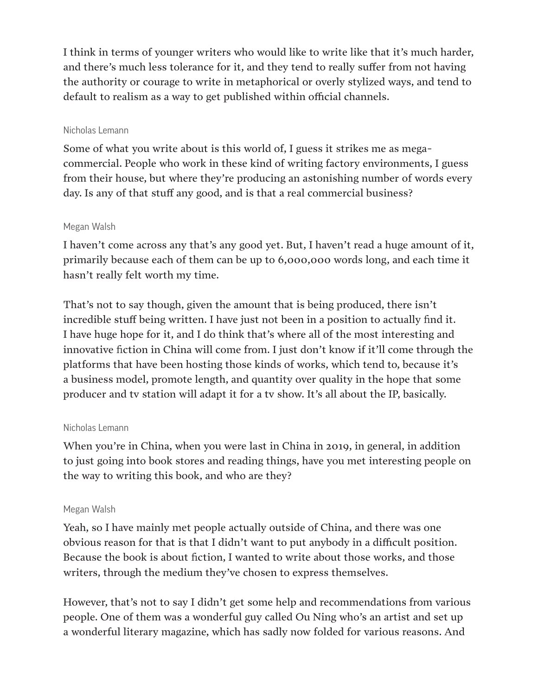I think in terms of younger writers who would like to write like that it's much harder, and there's much less tolerance for it, and they tend to really suffer from not having the authority or courage to write in metaphorical or overly stylized ways, and tend to default to realism as a way to get published within official channels.

# Nicholas Lemann

Some of what you write about is this world of, I guess it strikes me as megacommercial. People who work in these kind of writing factory environments, I guess from their house, but where they're producing an astonishing number of words every day. Is any of that stuff any good, and is that a real commercial business?

# Megan Walsh

I haven't come across any that's any good yet. But, I haven't read a huge amount of it, primarily because each of them can be up to 6,000,000 words long, and each time it hasn't really felt worth my time.

That's not to say though, given the amount that is being produced, there isn't incredible stuff being written. I have just not been in a position to actually find it. I have huge hope for it, and I do think that's where all of the most interesting and innovative fiction in China will come from. I just don't know if it'll come through the platforms that have been hosting those kinds of works, which tend to, because it's a business model, promote length, and quantity over quality in the hope that some producer and tv station will adapt it for a tv show. It's all about the IP, basically.

# Nicholas Lemann

When you're in China, when you were last in China in 2019, in general, in addition to just going into book stores and reading things, have you met interesting people on the way to writing this book, and who are they?

# Megan Walsh

Yeah, so I have mainly met people actually outside of China, and there was one obvious reason for that is that I didn't want to put anybody in a difficult position. Because the book is about fiction, I wanted to write about those works, and those writers, through the medium they've chosen to express themselves.

However, that's not to say I didn't get some help and recommendations from various people. One of them was a wonderful guy called Ou Ning who's an artist and set up a wonderful literary magazine, which has sadly now folded for various reasons. And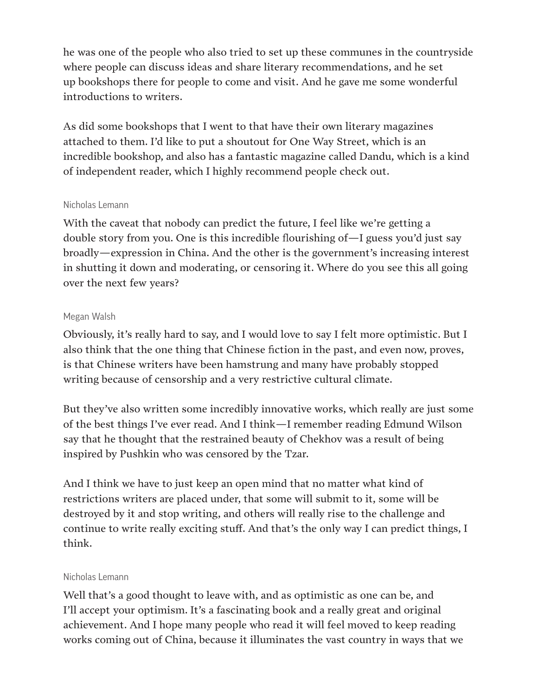he was one of the people who also tried to set up these communes in the countryside where people can discuss ideas and share literary recommendations, and he set up bookshops there for people to come and visit. And he gave me some wonderful introductions to writers.

As did some bookshops that I went to that have their own literary magazines attached to them. I'd like to put a shoutout for One Way Street, which is an incredible bookshop, and also has a fantastic magazine called Dandu, which is a kind of independent reader, which I highly recommend people check out.

#### Nicholas Lemann

With the caveat that nobody can predict the future, I feel like we're getting a double story from you. One is this incredible flourishing of—I guess you'd just say broadly—expression in China. And the other is the government's increasing interest in shutting it down and moderating, or censoring it. Where do you see this all going over the next few years?

## Megan Walsh

Obviously, it's really hard to say, and I would love to say I felt more optimistic. But I also think that the one thing that Chinese fiction in the past, and even now, proves, is that Chinese writers have been hamstrung and many have probably stopped writing because of censorship and a very restrictive cultural climate.

But they've also written some incredibly innovative works, which really are just some of the best things I've ever read. And I think—I remember reading Edmund Wilson say that he thought that the restrained beauty of Chekhov was a result of being inspired by Pushkin who was censored by the Tzar.

And I think we have to just keep an open mind that no matter what kind of restrictions writers are placed under, that some will submit to it, some will be destroyed by it and stop writing, and others will really rise to the challenge and continue to write really exciting stuff. And that's the only way I can predict things, I think.

#### Nicholas Lemann

Well that's a good thought to leave with, and as optimistic as one can be, and I'll accept your optimism. It's a fascinating book and a really great and original achievement. And I hope many people who read it will feel moved to keep reading works coming out of China, because it illuminates the vast country in ways that we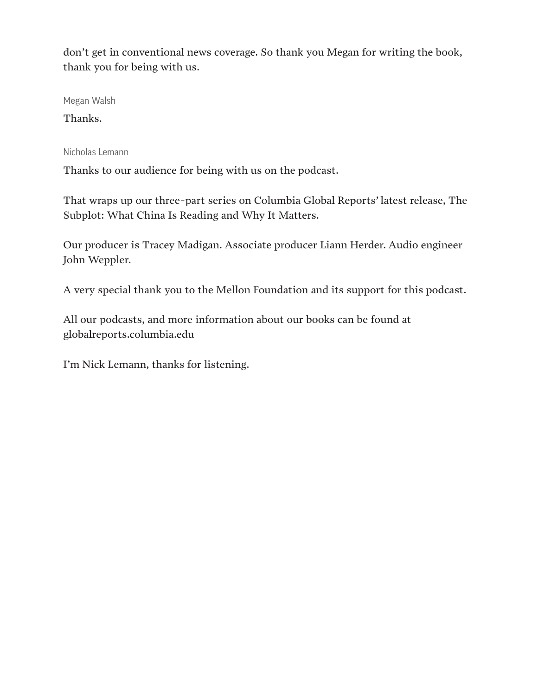don't get in conventional news coverage. So thank you Megan for writing the book, thank you for being with us.

Megan Walsh

Thanks.

Nicholas Lemann

Thanks to our audience for being with us on the podcast.

That wraps up our three-part series on Columbia Global Reports' latest release, The Subplot: What China Is Reading and Why It Matters.

Our producer is Tracey Madigan. Associate producer Liann Herder. Audio engineer John Weppler.

A very special thank you to the Mellon Foundation and its support for this podcast.

All our podcasts, and more information about our books can be found at globalreports.columbia.edu

I'm Nick Lemann, thanks for listening.